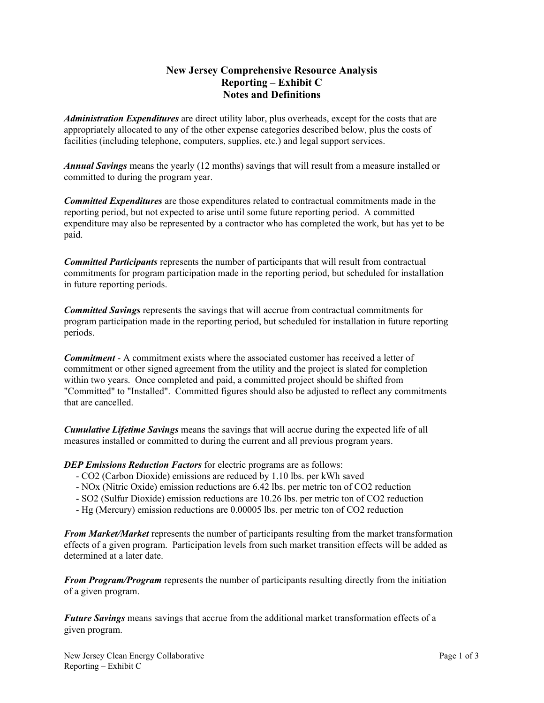## **New Jersey Comprehensive Resource Analysis Reporting – Exhibit C Notes and Definitions**

*Administration Expenditures* are direct utility labor, plus overheads, except for the costs that are appropriately allocated to any of the other expense categories described below, plus the costs of facilities (including telephone, computers, supplies, etc.) and legal support services.

*Annual Savings* means the yearly (12 months) savings that will result from a measure installed or committed to during the program year.

*Committed Expenditures* are those expenditures related to contractual commitments made in the reporting period, but not expected to arise until some future reporting period. A committed expenditure may also be represented by a contractor who has completed the work, but has yet to be paid.

*Committed Participants* represents the number of participants that will result from contractual commitments for program participation made in the reporting period, but scheduled for installation in future reporting periods.

*Committed Savings* represents the savings that will accrue from contractual commitments for program participation made in the reporting period, but scheduled for installation in future reporting periods.

*Commitment* - A commitment exists where the associated customer has received a letter of commitment or other signed agreement from the utility and the project is slated for completion within two years. Once completed and paid, a committed project should be shifted from "Committed" to "Installed". Committed figures should also be adjusted to reflect any commitments that are cancelled.

*Cumulative Lifetime Savings* means the savings that will accrue during the expected life of all measures installed or committed to during the current and all previous program years.

*DEP Emissions Reduction Factors* for electric programs are as follows:

- CO2 (Carbon Dioxide) emissions are reduced by 1.10 lbs. per kWh saved
- NOx (Nitric Oxide) emission reductions are 6.42 lbs. per metric ton of CO2 reduction
- SO2 (Sulfur Dioxide) emission reductions are 10.26 lbs. per metric ton of CO2 reduction
- Hg (Mercury) emission reductions are 0.00005 lbs. per metric ton of CO2 reduction

*From Market/Market* represents the number of participants resulting from the market transformation effects of a given program. Participation levels from such market transition effects will be added as determined at a later date.

*From Program/Program* represents the number of participants resulting directly from the initiation of a given program.

*Future Savings* means savings that accrue from the additional market transformation effects of a given program.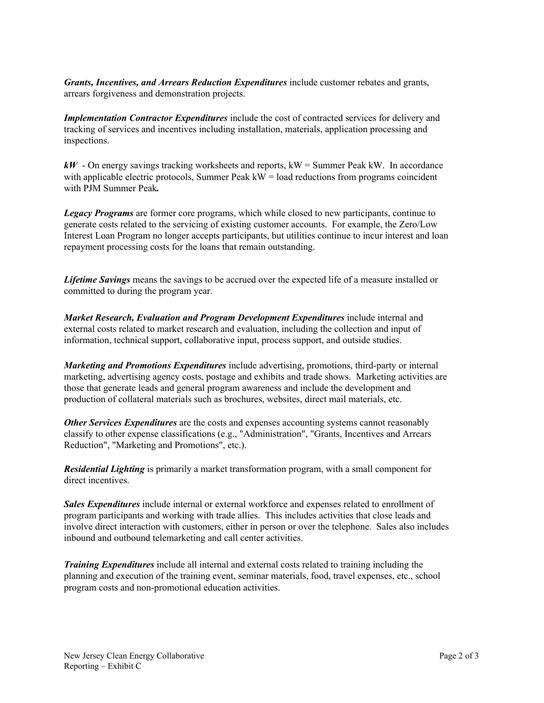*Grants, Incentives, and Arrears Reduction Expenditures* include customer rebates and grants, arrears forgiveness and demonstration projects.

*Implementation Contractor Expenditures* include the cost of contracted services for delivery and tracking of services and incentives including installation, materials, application processing and inspections.

*kW* - On energy savings tracking worksheets and reports, kW = Summer Peak kW. In accordance with applicable electric protocols, Summer Peak  $kW =$  load reductions from programs coincident with PJM Summer Peak*.*

*Legacy Programs* are former core programs, which while closed to new participants, continue to generate costs related to the servicing of existing customer accounts. For example, the Zero/Low Interest Loan Program no longer accepts participants, but utilities continue to incur interest and loan repayment processing costs for the loans that remain outstanding.

*Lifetime Savings* means the savings to be accrued over the expected life of a measure installed or committed to during the program year.

*Market Research, Evaluation and Program Development Expenditures* include internal and external costs related to market research and evaluation, including the collection and input of information, technical support, collaborative input, process support, and outside studies.

*Marketing and Promotions Expenditures* include advertising, promotions, third-party or internal marketing, advertising agency costs, postage and exhibits and trade shows. Marketing activities are those that generate leads and general program awareness and include the development and production of collateral materials such as brochures, websites, direct mail materials, etc.

*Other Services Expenditures* are the costs and expenses accounting systems cannot reasonably classify to other expense classifications (e.g., "Administration", "Grants, Incentives and Arrears Reduction", "Marketing and Promotions", etc.).

*Residential Lighting* is primarily a market transformation program, with a small component for direct incentives.

*Sales Expenditures* include internal or external workforce and expenses related to enrollment of program participants and working with trade allies. This includes activities that close leads and involve direct interaction with customers, either in person or over the telephone. Sales also includes inbound and outbound telemarketing and call center activities.

*Training Expenditures* include all internal and external costs related to training including the planning and execution of the training event, seminar materials, food, travel expenses, etc., school program costs and non-promotional education activities.